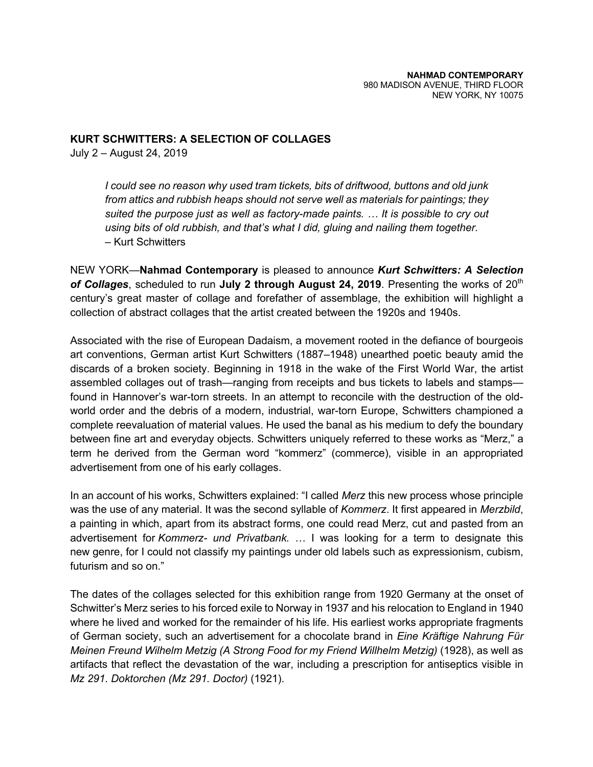## **KURT SCHWITTERS: A SELECTION OF COLLAGES**

July 2 – August 24, 2019

*I could see no reason why used tram tickets, bits of driftwood, buttons and old junk from attics and rubbish heaps should not serve well as materials for paintings; they suited the purpose just as well as factory-made paints. … It is possible to cry out using bits of old rubbish, and that's what I did, gluing and nailing them together.* – Kurt Schwitters

NEW YORK—**Nahmad Contemporary** is pleased to announce *Kurt Schwitters: A Selection*  **of Collages**, scheduled to run **July 2 through August 24, 2019**. Presenting the works of 20<sup>th</sup> century's great master of collage and forefather of assemblage, the exhibition will highlight a collection of abstract collages that the artist created between the 1920s and 1940s.

Associated with the rise of European Dadaism, a movement rooted in the defiance of bourgeois art conventions, German artist Kurt Schwitters (1887–1948) unearthed poetic beauty amid the discards of a broken society. Beginning in 1918 in the wake of the First World War, the artist assembled collages out of trash—ranging from receipts and bus tickets to labels and stamps found in Hannover's war-torn streets. In an attempt to reconcile with the destruction of the oldworld order and the debris of a modern, industrial, war-torn Europe, Schwitters championed a complete reevaluation of material values. He used the banal as his medium to defy the boundary between fine art and everyday objects. Schwitters uniquely referred to these works as "Merz," a term he derived from the German word "kommerz" (commerce), visible in an appropriated advertisement from one of his early collages.

In an account of his works, Schwitters explained: "I called *Merz* this new process whose principle was the use of any material. It was the second syllable of *Kommerz*. It first appeared in *Merzbild*, a painting in which, apart from its abstract forms, one could read Merz, cut and pasted from an advertisement for *Kommerz- und Privatbank.* … I was looking for a term to designate this new genre, for I could not classify my paintings under old labels such as expressionism, cubism, futurism and so on."

The dates of the collages selected for this exhibition range from 1920 Germany at the onset of Schwitter's Merz series to his forced exile to Norway in 1937 and his relocation to England in 1940 where he lived and worked for the remainder of his life. His earliest works appropriate fragments of German society, such an advertisement for a chocolate brand in *Eine Kräftige Nahrung Für Meinen Freund Wilhelm Metzig (A Strong Food for my Friend Willhelm Metzig)* (1928), as well as artifacts that reflect the devastation of the war, including a prescription for antiseptics visible in *Mz 291. Doktorchen (Mz 291. Doctor)* (1921).